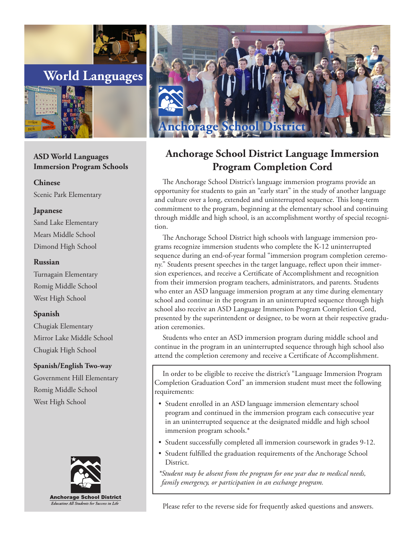



# **ASD World Languages Immersion Program Schools**

**Chinese**

Scenic Park Elementary

## **Japanese**

Sand Lake Elementary Mears Middle School Dimond High School

#### **Russian**

Turnagain Elementary Romig Middle School West High School

## **Spanish**

Chugiak Elementary Mirror Lake Middle School Chugiak High School

## **Spanish/English Two-way**

Government Hill Elementary Romig Middle School West High School





# **Anchorage School District Language Immersion Program Completion Cord**

The Anchorage School District's language immersion programs provide an opportunity for students to gain an "early start" in the study of another language and culture over a long, extended and uninterrupted sequence. This long-term commitment to the program, beginning at the elementary school and continuing through middle and high school, is an accomplishment worthy of special recognition.

The Anchorage School District high schools with language immersion programs recognize immersion students who complete the K-12 uninterrupted sequence during an end-of-year formal "immersion program completion ceremony." Students present speeches in the target language, reflect upon their immersion experiences, and receive a Certificate of Accomplishment and recognition from their immersion program teachers, administrators, and parents. Students who enter an ASD language immersion program at any time during elementary school and continue in the program in an uninterrupted sequence through high school also receive an ASD Language Immersion Program Completion Cord, presented by the superintendent or designee, to be worn at their respective graduation ceremonies.

Students who enter an ASD immersion program during middle school and continue in the program in an uninterrupted sequence through high school also attend the completion ceremony and receive a Certificate of Accomplishment.

In order to be eligible to receive the district's "Language Immersion Program Completion Graduation Cord" an immersion student must meet the following requirements:

- Student enrolled in an ASD language immersion elementary school program and continued in the immersion program each consecutive year in an uninterrupted sequence at the designated middle and high school immersion program schools.\*
- Student successfully completed all immersion coursework in grades 9-12.
- Student fulfilled the graduation requirements of the Anchorage School District.

*\*Student may be absent from the program for one year due to medical needs, family emergency, or participation in an exchange program.* 

Please refer to the reverse side for frequently asked questions and answers.